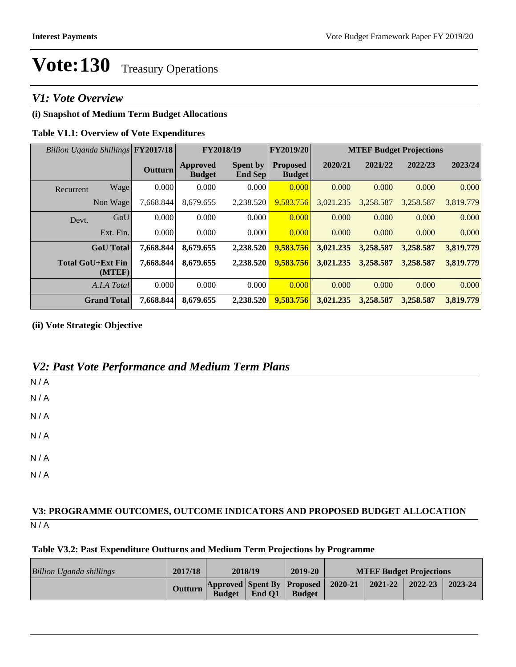# Vote: 130 Treasury Operations

## *V1: Vote Overview*

#### **(i) Snapshot of Medium Term Budget Allocations**

#### **Table V1.1: Overview of Vote Expenditures**

| Billion Uganda Shillings FY2017/18 |                    |                | FY2018/19                        |                                   | <b>FY2019/20</b>                 | <b>MTEF Budget Projections</b> |           |           |           |
|------------------------------------|--------------------|----------------|----------------------------------|-----------------------------------|----------------------------------|--------------------------------|-----------|-----------|-----------|
|                                    |                    | <b>Outturn</b> | <b>Approved</b><br><b>Budget</b> | <b>Spent by</b><br><b>End Sep</b> | <b>Proposed</b><br><b>Budget</b> | 2020/21                        | 2021/22   | 2022/23   | 2023/24   |
| Recurrent                          | Wage               | 0.000          | 0.000                            | 0.000                             | 0.000                            | 0.000                          | 0.000     | 0.000     | 0.000     |
|                                    | Non Wage           | 7.668.844      | 8.679.655                        | 2,238.520                         | 9,583.756                        | 3,021.235                      | 3,258.587 | 3.258.587 | 3,819.779 |
| Devt.                              | GoU                | 0.000          | 0.000                            | 0.000                             | 0.000                            | 0.000                          | 0.000     | 0.000     | 0.000     |
|                                    | Ext. Fin.          | 0.000          | 0.000                            | 0.000                             | 0.000                            | 0.000                          | 0.000     | 0.000     | 0.000     |
|                                    | <b>GoU</b> Total   | 7,668.844      | 8,679.655                        | 2,238.520                         | 9,583.756                        | 3,021.235                      | 3,258.587 | 3,258.587 | 3,819.779 |
| <b>Total GoU+Ext Fin</b>           | (MTEF)             | 7.668.844      | 8,679.655                        | 2,238.520                         | 9,583.756                        | 3,021.235                      | 3,258.587 | 3,258.587 | 3,819.779 |
|                                    | A.I.A Total        | 0.000          | 0.000                            | 0.000                             | 0.000                            | 0.000                          | 0.000     | 0.000     | 0.000     |
|                                    | <b>Grand Total</b> | 7,668.844      | 8,679.655                        | 2,238.520                         | 9,583.756                        | 3,021.235                      | 3,258.587 | 3,258.587 | 3,819.779 |

**(ii) Vote Strategic Objective**

## *V2: Past Vote Performance and Medium Term Plans*

| N/A |  |  |  |
|-----|--|--|--|
| N/A |  |  |  |
| N/A |  |  |  |
| N/A |  |  |  |
| N/A |  |  |  |
| N/A |  |  |  |

### $N/A$ **V3: PROGRAMME OUTCOMES, OUTCOME INDICATORS AND PROPOSED BUDGET ALLOCATION**

#### **Table V3.2: Past Expenditure Outturns and Medium Term Projections by Programme**

| Billion Uganda shillings | 2017/18 | 2018/19       |        | 2019-20                                             | <b>MTEF Budget Projections</b> |         |         |         |
|--------------------------|---------|---------------|--------|-----------------------------------------------------|--------------------------------|---------|---------|---------|
|                          | Outturn | <b>Budget</b> | End Q1 | Approved Spent By Proposed 2020-21<br><b>Budget</b> |                                | 2021-22 | 2022-23 | 2023-24 |